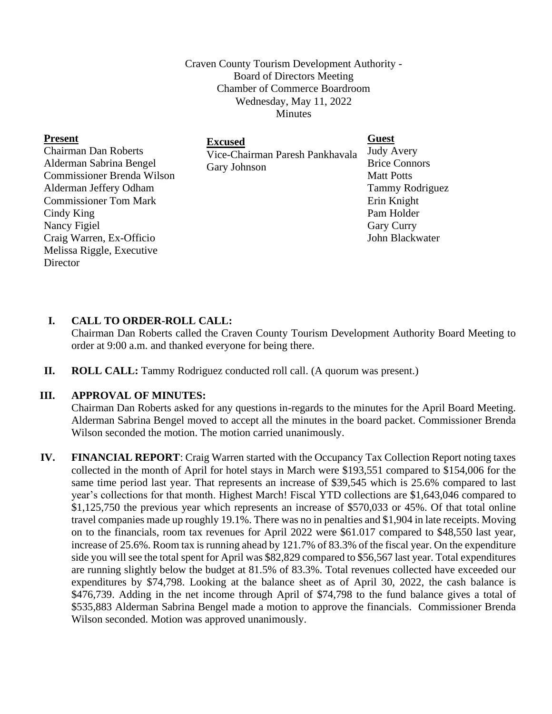Craven County Tourism Development Authority - Board of Directors Meeting Chamber of Commerce Boardroom Wednesday, May 11, 2022 Minutes

| <b>Present</b>                    | <b>Excused</b>                  | <b>Guest</b>           |
|-----------------------------------|---------------------------------|------------------------|
| <b>Chairman Dan Roberts</b>       | Vice-Chairman Paresh Pankhavala | <b>Judy Avery</b>      |
| Alderman Sabrina Bengel           | Gary Johnson                    | <b>Brice Connors</b>   |
| <b>Commissioner Brenda Wilson</b> |                                 | <b>Matt Potts</b>      |
| Alderman Jeffery Odham            |                                 | <b>Tammy Rodriguez</b> |
| <b>Commissioner Tom Mark</b>      |                                 | Erin Knight            |
| Cindy King                        |                                 | Pam Holder             |
| Nancy Figiel                      |                                 | <b>Gary Curry</b>      |
| Craig Warren, Ex-Officio          |                                 | John Blackwater        |
| Melissa Riggle, Executive         |                                 |                        |
| Director                          |                                 |                        |

## **I. CALL TO ORDER-ROLL CALL:**

Chairman Dan Roberts called the Craven County Tourism Development Authority Board Meeting to order at 9:00 a.m. and thanked everyone for being there.

**II. ROLL CALL:** Tammy Rodriguez conducted roll call. (A quorum was present.)

## **III. APPROVAL OF MINUTES:**

Chairman Dan Roberts asked for any questions in-regards to the minutes for the April Board Meeting. Alderman Sabrina Bengel moved to accept all the minutes in the board packet. Commissioner Brenda Wilson seconded the motion. The motion carried unanimously.

**IV. FINANCIAL REPORT**: Craig Warren started with the Occupancy Tax Collection Report noting taxes collected in the month of April for hotel stays in March were \$193,551 compared to \$154,006 for the same time period last year. That represents an increase of \$39,545 which is 25.6% compared to last year's collections for that month. Highest March! Fiscal YTD collections are \$1,643,046 compared to \$1,125,750 the previous year which represents an increase of \$570,033 or 45%. Of that total online travel companies made up roughly 19.1%. There was no in penalties and \$1,904 in late receipts. Moving on to the financials, room tax revenues for April 2022 were \$61.017 compared to \$48,550 last year, increase of 25.6%. Room tax is running ahead by 121.7% of 83.3% of the fiscal year. On the expenditure side you will see the total spent for April was \$82,829 compared to \$56,567 last year. Total expenditures are running slightly below the budget at 81.5% of 83.3%. Total revenues collected have exceeded our expenditures by \$74,798. Looking at the balance sheet as of April 30, 2022, the cash balance is \$476,739. Adding in the net income through April of \$74,798 to the fund balance gives a total of \$535,883 Alderman Sabrina Bengel made a motion to approve the financials. Commissioner Brenda Wilson seconded. Motion was approved unanimously.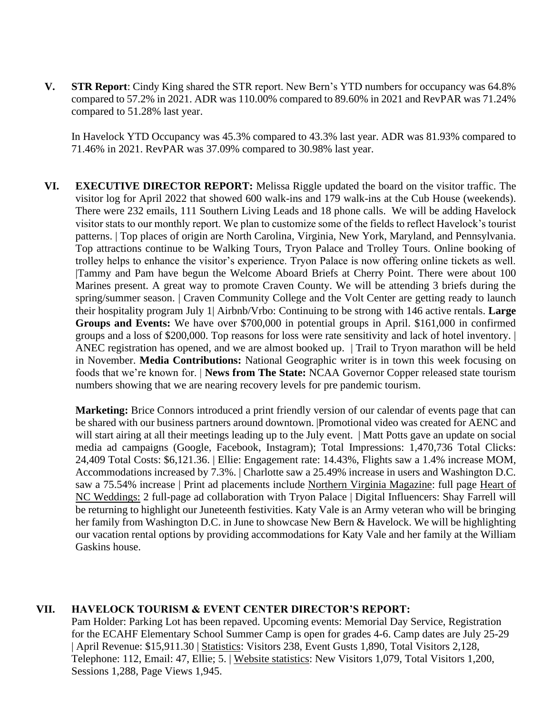**V. STR Report**: Cindy King shared the STR report. New Bern's YTD numbers for occupancy was 64.8% compared to 57.2% in 2021. ADR was 110.00% compared to 89.60% in 2021 and RevPAR was 71.24% compared to 51.28% last year.

In Havelock YTD Occupancy was 45.3% compared to 43.3% last year. ADR was 81.93% compared to 71.46% in 2021. RevPAR was 37.09% compared to 30.98% last year.

**VI. EXECUTIVE DIRECTOR REPORT:** Melissa Riggle updated the board on the visitor traffic. The visitor log for April 2022 that showed 600 walk-ins and 179 walk-ins at the Cub House (weekends). There were 232 emails, 111 Southern Living Leads and 18 phone calls. We will be adding Havelock visitor stats to our monthly report. We plan to customize some of the fields to reflect Havelock's tourist patterns. | Top places of origin are North Carolina, Virginia, New York, Maryland, and Pennsylvania. Top attractions continue to be Walking Tours, Tryon Palace and Trolley Tours. Online booking of trolley helps to enhance the visitor's experience. Tryon Palace is now offering online tickets as well. |Tammy and Pam have begun the Welcome Aboard Briefs at Cherry Point. There were about 100 Marines present. A great way to promote Craven County. We will be attending 3 briefs during the spring/summer season. | Craven Community College and the Volt Center are getting ready to launch their hospitality program July 1| Airbnb/Vrbo: Continuing to be strong with 146 active rentals. **Large Groups and Events:** We have over \$700,000 in potential groups in April. \$161,000 in confirmed groups and a loss of \$200,000. Top reasons for loss were rate sensitivity and lack of hotel inventory. | ANEC registration has opened, and we are almost booked up. | Trail to Tryon marathon will be held in November. **Media Contributions:** National Geographic writer is in town this week focusing on foods that we're known for. | **News from The State:** NCAA Governor Copper released state tourism numbers showing that we are nearing recovery levels for pre pandemic tourism.

**Marketing:** Brice Connors introduced a print friendly version of our calendar of events page that can be shared with our business partners around downtown. |Promotional video was created for AENC and will start airing at all their meetings leading up to the July event. | Matt Potts gave an update on social media ad campaigns (Google, Facebook, Instagram); Total Impressions: 1,470,736 Total Clicks: 24,409 Total Costs: \$6,121.36. | Ellie: Engagement rate: 14.43%, Flights saw a 1.4% increase MOM, Accommodations increased by 7.3%. | Charlotte saw a 25.49% increase in users and Washington D.C. saw a 75.54% increase | Print ad placements include Northern Virginia Magazine: full page Heart of NC Weddings: 2 full-page ad collaboration with Tryon Palace | Digital Influencers: Shay Farrell will be returning to highlight our Juneteenth festivities. Katy Vale is an Army veteran who will be bringing her family from Washington D.C. in June to showcase New Bern & Havelock. We will be highlighting our vacation rental options by providing accommodations for Katy Vale and her family at the William Gaskins house.

## **VII. HAVELOCK TOURISM & EVENT CENTER DIRECTOR'S REPORT:**

Pam Holder: Parking Lot has been repaved. Upcoming events: Memorial Day Service, Registration for the ECAHF Elementary School Summer Camp is open for grades 4-6. Camp dates are July 25-29 | April Revenue: \$15,911.30 | Statistics: Visitors 238, Event Gusts 1,890, Total Visitors 2,128, Telephone: 112, Email: 47, Ellie; 5. | Website statistics: New Visitors 1,079, Total Visitors 1,200, Sessions 1,288, Page Views 1,945.